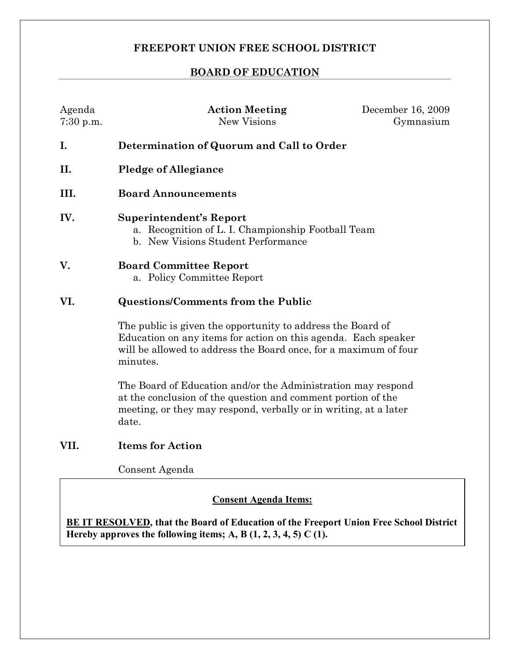# **FREEPORT UNION FREE SCHOOL DISTRICT**

# **BOARD OF EDUCATION**

| Agenda<br>$7:30$ p.m. | <b>Action Meeting</b><br><b>New Visions</b>                                                                                                                                                                   | December 16, 2009<br>Gymnasium |
|-----------------------|---------------------------------------------------------------------------------------------------------------------------------------------------------------------------------------------------------------|--------------------------------|
| I.                    | Determination of Quorum and Call to Order                                                                                                                                                                     |                                |
| II.                   | <b>Pledge of Allegiance</b>                                                                                                                                                                                   |                                |
| III.                  | <b>Board Announcements</b>                                                                                                                                                                                    |                                |
| IV.                   | <b>Superintendent's Report</b><br>a. Recognition of L. I. Championship Football Team<br>b. New Visions Student Performance                                                                                    |                                |
| V.                    | <b>Board Committee Report</b><br>a. Policy Committee Report                                                                                                                                                   |                                |
| VI.                   | <b>Questions/Comments from the Public</b>                                                                                                                                                                     |                                |
|                       | The public is given the opportunity to address the Board of<br>Education on any items for action on this agenda. Each speaker<br>will be allowed to address the Board once, for a maximum of four<br>minutes. |                                |
|                       | The Board of Education and/or the Administration may respond<br>at the conclusion of the question and comment portion of the<br>meeting, or they may respond, verbally or in writing, at a later<br>date.     |                                |

# **VII. Items for Action**

Consent Agenda

### **Consent Agenda Items:**

**BE IT RESOLVED, that the Board of Education of the Freeport Union Free School District Hereby approves the following items; A, B**  $(1, 2, 3, 4, 5)$  **C**  $(1)$ .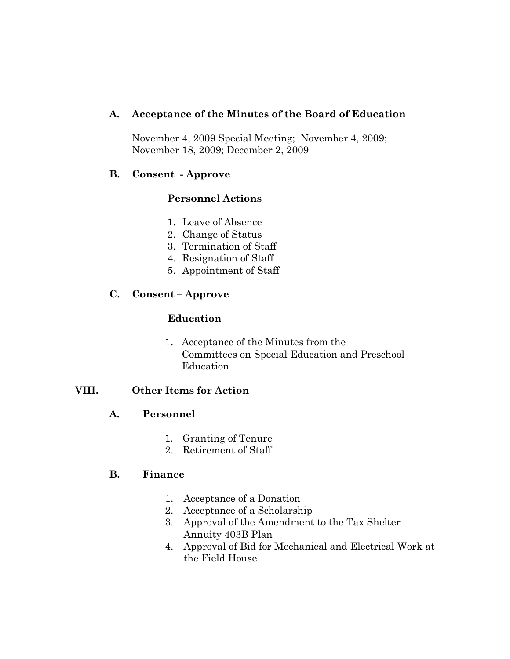## **A. Acceptance of the Minutes of the Board of Education**

November 4, 2009 Special Meeting; November 4, 2009; November 18, 2009; December 2, 2009

### **B. Consent Approve**

# **Personnel Actions**

- 1. Leave of Absence
- 2. Change of Status
- 3. Termination of Staff
- 4. Resignation of Staff
- 5. Appointment of Staff

### **C. Consent – Approve**

#### **Education**

1. Acceptance of the Minutes from the Committees on Special Education and Preschool Education

# **VIII. Other Items for Action**

#### **A. Personnel**

- 1. Granting of Tenure
- 2. Retirement of Staff

#### **B. Finance**

- 1. Acceptance of a Donation
- 2. Acceptance of a Scholarship
- 3. Approval of the Amendment to the Tax Shelter Annuity 403B Plan
- 4. Approval of Bid for Mechanical and Electrical Work at the Field House